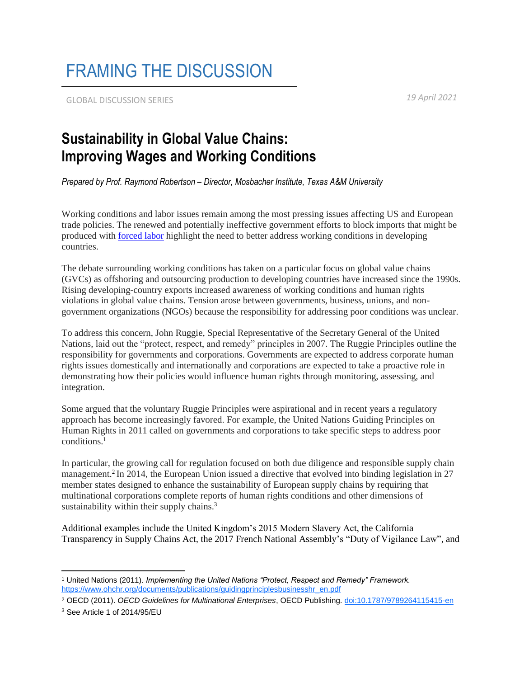## FRAMING THE DISCUSSION

GLOBAL DISCUSSION SERIES *19 April 2021*

## **Sustainability in Global Value Chains: Improving Wages and Working Conditions**

*Prepared by Prof. Raymond Robertson – Director, Mosbacher Institute, Texas A&M University*

Working conditions and labor issues remain among the most pressing issues affecting US and European trade policies. The renewed and potentially ineffective government efforts to block imports that might be produced with [forced labor](https://www.natlawreview.com/article/trend-alert-increased-us-oversight-forced-labor-supply-chains) highlight the need to better address working conditions in developing countries.

The debate surrounding working conditions has taken on a particular focus on global value chains (GVCs) as offshoring and outsourcing production to developing countries have increased since the 1990s. Rising developing-country exports increased awareness of working conditions and human rights violations in global value chains. Tension arose between governments, business, unions, and nongovernment organizations (NGOs) because the responsibility for addressing poor conditions was unclear.

To address this concern, John Ruggie, Special Representative of the Secretary General of the United Nations, laid out the "protect, respect, and remedy" principles in 2007. The Ruggie Principles outline the responsibility for governments and corporations. Governments are expected to address corporate human rights issues domestically and internationally and corporations are expected to take a proactive role in demonstrating how their policies would influence human rights through monitoring, assessing, and integration.

Some argued that the voluntary Ruggie Principles were aspirational and in recent years a regulatory approach has become increasingly favored. For example, the United Nations Guiding Principles on Human Rights in 2011 called on governments and corporations to take specific steps to address poor conditions.<sup>1</sup>

In particular, the growing call for regulation focused on both due diligence and responsible supply chain management.<sup>2</sup> In 2014, the European Union issued a directive that evolved into binding legislation in 27 member states designed to enhance the sustainability of European supply chains by requiring that multinational corporations complete reports of human rights conditions and other dimensions of sustainability within their supply chains.<sup>3</sup>

Additional examples include the United Kingdom's 2015 Modern Slavery Act, the California Transparency in Supply Chains Act, the 2017 French National Assembly's "Duty of Vigilance Law", and

 $\overline{a}$ <sup>1</sup> United Nations (2011). *Implementing the United Nations "Protect, Respect and Remedy" Framework.*  https://www.ohchr.org/documents/publications/guidingprinciplesbusinesshr\_en.pdf

<sup>2</sup> OECD (2011). *OECD Guidelines for Multinational Enterprises*, OECD Publishing. doi:10.1787/9789264115415-en

<sup>3</sup> See Article 1 of 2014/95/EU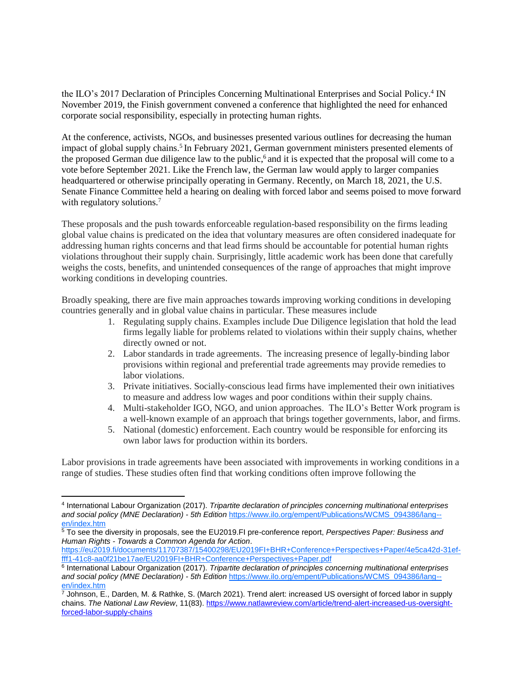the ILO's 2017 Declaration of Principles Concerning Multinational Enterprises and Social Policy.<sup>4</sup> IN November 2019, the Finish government convened a conference that highlighted the need for enhanced corporate social responsibility, especially in protecting human rights.

At the conference, activists, NGOs, and businesses presented various outlines for decreasing the human impact of global supply chains.<sup>5</sup> In February 2021, German government ministers presented elements of the proposed German due diligence law to the public, 6 and it is expected that the proposal will come to a vote before September 2021. Like the French law, the German law would apply to larger companies headquartered or otherwise principally operating in Germany. Recently, on March 18, 2021, the U.S. Senate Finance Committee held a hearing on dealing with forced labor and seems poised to move forward with regulatory solutions.<sup>7</sup>

These proposals and the push towards enforceable regulation-based responsibility on the firms leading global value chains is predicated on the idea that voluntary measures are often considered inadequate for addressing human rights concerns and that lead firms should be accountable for potential human rights violations throughout their supply chain. Surprisingly, little academic work has been done that carefully weighs the costs, benefits, and unintended consequences of the range of approaches that might improve working conditions in developing countries.

Broadly speaking, there are five main approaches towards improving working conditions in developing countries generally and in global value chains in particular. These measures include

- 1. Regulating supply chains. Examples include Due Diligence legislation that hold the lead firms legally liable for problems related to violations within their supply chains, whether directly owned or not.
- 2. Labor standards in trade agreements. The increasing presence of legally-binding labor provisions within regional and preferential trade agreements may provide remedies to labor violations.
- 3. Private initiatives. Socially-conscious lead firms have implemented their own initiatives to measure and address low wages and poor conditions within their supply chains.
- 4. Multi-stakeholder IGO, NGO, and union approaches. The ILO's Better Work program is a well-known example of an approach that brings together governments, labor, and firms.
- 5. National (domestic) enforcement. Each country would be responsible for enforcing its own labor laws for production within its borders.

Labor provisions in trade agreements have been associated with improvements in working conditions in a range of studies. These studies often find that working conditions often improve following the

 $\overline{a}$ 4 International Labour Organization (2017). *Tripartite declaration of principles concerning multinational enterprises and social policy (MNE Declaration) - 5th Edition* https://www.ilo.org/empent/Publications/WCMS\_094386/lang- en/index.htm

<sup>5</sup> To see the diversity in proposals, see the EU2019.FI pre-conference report, *Perspectives Paper: Business and Human Rights - Towards a Common Agenda for Action*.

https://eu2019.fi/documents/11707387/15400298/EU2019FI+BHR+Conference+Perspectives+Paper/4e5ca42d-31effff1-41c8-aa0f21be17ae/EU2019FI+BHR+Conference+Perspectives+Paper.pdf

<sup>6</sup> International Labour Organization (2017). *Tripartite declaration of principles concerning multinational enterprises and social policy (MNE Declaration) - 5th Edition* https://www.ilo.org/empent/Publications/WCMS\_094386/lang- en/index.htm

 $^7$  Johnson, E., Darden, M. & Rathke, S. (March 2021). Trend alert: increased US oversight of forced labor in supply chains. *The National Law Review*, 11(83). [https://www.natlawreview.com/article/trend-alert-increased-us-oversight](https://urldefense.com/v3/__https:/www.natlawreview.com/article/trend-alert-increased-us-oversight-forced-labor-supply-chains__;!!KwNVnqRv!XtQOQNz5Pvs2zgWgEVjqNgbD0oyktbvgReC6joFAWrwyCVC5XLwzN5_2Ofj7eSO9$)[forced-labor-supply-chains](https://urldefense.com/v3/__https:/www.natlawreview.com/article/trend-alert-increased-us-oversight-forced-labor-supply-chains__;!!KwNVnqRv!XtQOQNz5Pvs2zgWgEVjqNgbD0oyktbvgReC6joFAWrwyCVC5XLwzN5_2Ofj7eSO9$)